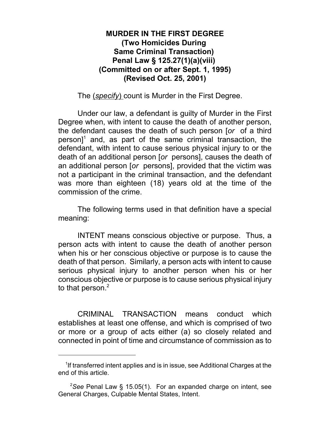## **MURDER IN THE FIRST DEGREE (Two Homicides During Same Criminal Transaction) Penal Law § 125.27(1)(a)(viii) (Committed on or after Sept. 1, 1995) (Revised Oct. 25, 2001)**

The (*specify*) count is Murder in the First Degree.

Under our law, a defendant is guilty of Murder in the First Degree when, with intent to cause the death of another person, the defendant causes the death of such person [*or* of a third  $person<sup>1</sup>$  and, as part of the same criminal transaction, the defendant, with intent to cause serious physical injury to or the death of an additional person [*or* persons], causes the death of an additional person [*or* persons], provided that the victim was not a participant in the criminal transaction, and the defendant was more than eighteen (18) years old at the time of the commission of the crime.

The following terms used in that definition have a special meaning:

INTENT means conscious objective or purpose. Thus, a person acts with intent to cause the death of another person when his or her conscious objective or purpose is to cause the death of that person. Similarly, a person acts with intent to cause serious physical injury to another person when his or her conscious objective or purpose is to cause serious physical injury to that person.<sup>2</sup>

CRIMINAL TRANSACTION means conduct which establishes at least one offense, and which is comprised of two or more or a group of acts either (a) so closely related and connected in point of time and circumstance of commission as to

<sup>&</sup>lt;sup>1</sup>If transferred intent applies and is in issue, see Additional Charges at the end of this article.

<sup>&</sup>lt;sup>2</sup>See Penal Law § 15.05(1). For an expanded charge on intent, see General Charges, Culpable Mental States, Intent.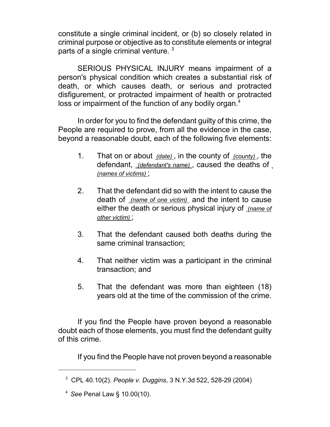constitute a single criminal incident, or (b) so closely related in criminal purpose or objective as to constitute elements or integral parts of a single criminal venture.<sup>3</sup>

SERIOUS PHYSICAL INJURY means impairment of a person's physical condition which creates a substantial risk of death, or which causes death, or serious and protracted disfigurement, or protracted impairment of health or protracted loss or impairment of the function of any bodily organ.<sup>4</sup>

In order for you to find the defendant guilty of this crime, the People are required to prove, from all the evidence in the case, beyond a reasonable doubt, each of the following five elements:

- 1. That on or about *(date)* , in the county of *(county)* , the defendant, *(defendant's name)* , caused the deaths of *(names of victims)* ;
- 2. That the defendant did so with the intent to cause the death of *(name of one victim)* and the intent to cause either the death or serious physical injury of *(name of other victim)* ;
- 3. That the defendant caused both deaths during the same criminal transaction;
- 4. That neither victim was a participant in the criminal transaction; and
- 5. That the defendant was more than eighteen (18) years old at the time of the commission of the crime.

If you find the People have proven beyond a reasonable doubt each of those elements, you must find the defendant guilty of this crime.

If you find the People have not proven beyond a reasonable

<sup>3</sup> CPL 40.10(2). *People v. Duggins*, 3 N.Y.3d 522, 528-29 (2004)

<sup>4</sup>*See* Penal Law § 10.00(10).